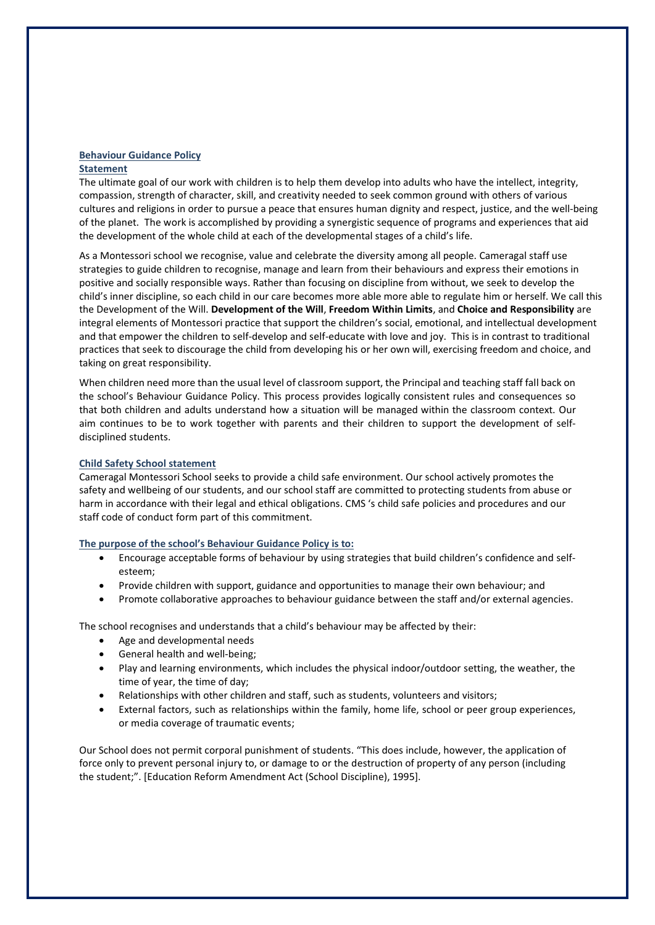### **Behaviour Guidance Policy**

### **Statement**

The ultimate goal of our work with children is to help them develop into adults who have the intellect, integrity, compassion, strength of character, skill, and creativity needed to seek common ground with others of various cultures and religions in order to pursue a peace that ensures human dignity and respect, justice, and the well-being of the planet. The work is accomplished by providing a synergistic sequence of programs and experiences that aid the development of the whole child at each of the developmental stages of a child's life.

As a Montessori school we recognise, value and celebrate the diversity among all people. Cameragal staff use strategies to guide children to recognise, manage and learn from their behaviours and express their emotions in positive and socially responsible ways. Rather than focusing on discipline from without, we seek to develop the child's inner discipline, so each child in our care becomes more able more able to regulate him or herself. We call this the Development of the Will. **Development of the Will**, **Freedom Within Limits**, and **Choice and Responsibility** are integral elements of Montessori practice that support the children's social, emotional, and intellectual development and that empower the children to self-develop and self-educate with love and joy. This is in contrast to traditional practices that seek to discourage the child from developing his or her own will, exercising freedom and choice, and taking on great responsibility.

When children need more than the usual level of classroom support, the Principal and teaching staff fall back on the school's Behaviour Guidance Policy. This process provides logically consistent rules and consequences so that both children and adults understand how a situation will be managed within the classroom context. Our aim continues to be to work together with parents and their children to support the development of selfdisciplined students.

### **Child Safety School statement**

Cameragal Montessori School seeks to provide a child safe environment. Our school actively promotes the safety and wellbeing of our students, and our school staff are committed to protecting students from abuse or harm in accordance with their legal and ethical obligations. CMS 's child safe policies and procedures and our staff code of conduct form part of this commitment.

### **The purpose of the school's Behaviour Guidance Policy is to:**

- Encourage acceptable forms of behaviour by using strategies that build children's confidence and selfesteem;
- Provide children with support, guidance and opportunities to manage their own behaviour; and
- Promote collaborative approaches to behaviour guidance between the staff and/or external agencies.

The school recognises and understands that a child's behaviour may be affected by their:

- Age and developmental needs
- General health and well-being;
- Play and learning environments, which includes the physical indoor/outdoor setting, the weather, the time of year, the time of day;
- Relationships with other children and staff, such as students, volunteers and visitors;
- External factors, such as relationships within the family, home life, school or peer group experiences, or media coverage of traumatic events;

Our School does not permit corporal punishment of students. "This does include, however, the application of force only to prevent personal injury to, or damage to or the destruction of property of any person (including the student;". [Education Reform Amendment Act (School Discipline), 1995].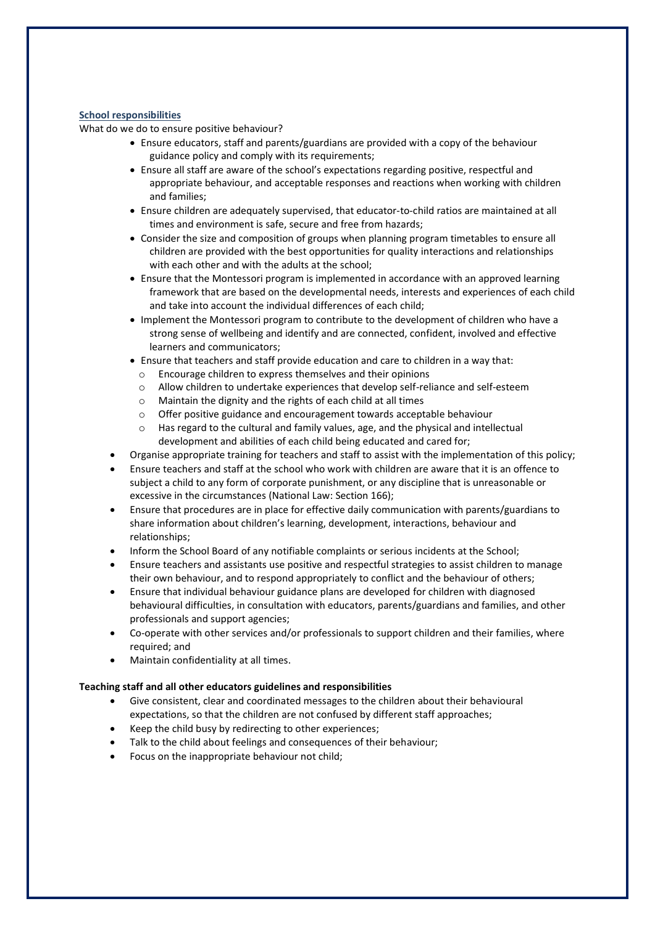# **School responsibilities**

What do we do to ensure positive behaviour?

- Ensure educators, staff and parents/guardians are provided with a copy of the behaviour guidance policy and comply with its requirements;
- Ensure all staff are aware of the school's expectations regarding positive, respectful and appropriate behaviour, and acceptable responses and reactions when working with children and families;
- Ensure children are adequately supervised, that educator-to-child ratios are maintained at all times and environment is safe, secure and free from hazards;
- Consider the size and composition of groups when planning program timetables to ensure all children are provided with the best opportunities for quality interactions and relationships with each other and with the adults at the school;
- Ensure that the Montessori program is implemented in accordance with an approved learning framework that are based on the developmental needs, interests and experiences of each child and take into account the individual differences of each child;
- Implement the Montessori program to contribute to the development of children who have a strong sense of wellbeing and identify and are connected, confident, involved and effective learners and communicators;
- Ensure that teachers and staff provide education and care to children in a way that:
	- o Encourage children to express themselves and their opinions
	- Allow children to undertake experiences that develop self-reliance and self-esteem
	- o Maintain the dignity and the rights of each child at all times
	- o Offer positive guidance and encouragement towards acceptable behaviour
	- o Has regard to the cultural and family values, age, and the physical and intellectual development and abilities of each child being educated and cared for;
- Organise appropriate training for teachers and staff to assist with the implementation of this policy;
- Ensure teachers and staff at the school who work with children are aware that it is an offence to subject a child to any form of corporate punishment, or any discipline that is unreasonable or excessive in the circumstances (National Law: Section 166);
- Ensure that procedures are in place for effective daily communication with parents/guardians to share information about children's learning, development, interactions, behaviour and relationships;
- Inform the School Board of any notifiable complaints or serious incidents at the School;
- Ensure teachers and assistants use positive and respectful strategies to assist children to manage their own behaviour, and to respond appropriately to conflict and the behaviour of others;
- Ensure that individual behaviour guidance plans are developed for children with diagnosed behavioural difficulties, in consultation with educators, parents/guardians and families, and other professionals and support agencies;
- Co-operate with other services and/or professionals to support children and their families, where required; and
- Maintain confidentiality at all times.

### **Teaching staff and all other educators guidelines and responsibilities**

- Give consistent, clear and coordinated messages to the children about their behavioural expectations, so that the children are not confused by different staff approaches;
- Keep the child busy by redirecting to other experiences;
- Talk to the child about feelings and consequences of their behaviour;
- Focus on the inappropriate behaviour not child;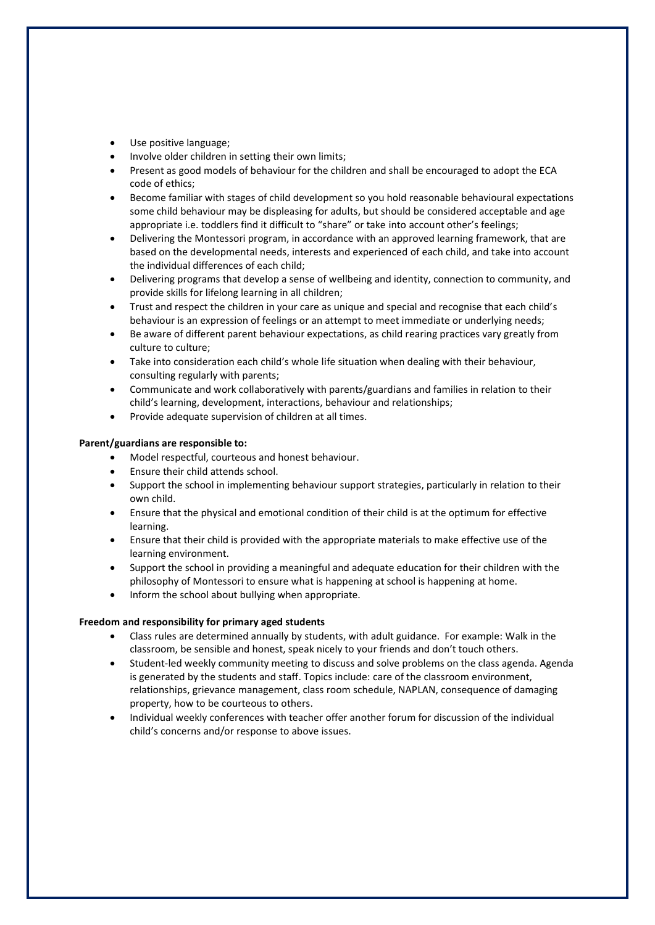- Use positive language:
- Involve older children in setting their own limits;
- Present as good models of behaviour for the children and shall be encouraged to adopt the ECA code of ethics;
- Become familiar with stages of child development so you hold reasonable behavioural expectations some child behaviour may be displeasing for adults, but should be considered acceptable and age appropriate i.e. toddlers find it difficult to "share" or take into account other's feelings;
- Delivering the Montessori program, in accordance with an approved learning framework, that are based on the developmental needs, interests and experienced of each child, and take into account the individual differences of each child;
- Delivering programs that develop a sense of wellbeing and identity, connection to community, and provide skills for lifelong learning in all children;
- Trust and respect the children in your care as unique and special and recognise that each child's behaviour is an expression of feelings or an attempt to meet immediate or underlying needs;
- Be aware of different parent behaviour expectations, as child rearing practices vary greatly from culture to culture;
- Take into consideration each child's whole life situation when dealing with their behaviour, consulting regularly with parents;
- Communicate and work collaboratively with parents/guardians and families in relation to their child's learning, development, interactions, behaviour and relationships;
- Provide adequate supervision of children at all times.

### **Parent/guardians are responsible to:**

- Model respectful, courteous and honest behaviour.
- Ensure their child attends school.
- Support the school in implementing behaviour support strategies, particularly in relation to their own child.
- Ensure that the physical and emotional condition of their child is at the optimum for effective learning.
- Ensure that their child is provided with the appropriate materials to make effective use of the learning environment.
- Support the school in providing a meaningful and adequate education for their children with the philosophy of Montessori to ensure what is happening at school is happening at home.
- Inform the school about bullying when appropriate.

### **Freedom and responsibility for primary aged students**

- Class rules are determined annually by students, with adult guidance. For example: Walk in the classroom, be sensible and honest, speak nicely to your friends and don't touch others.
- Student-led weekly community meeting to discuss and solve problems on the class agenda. Agenda is generated by the students and staff. Topics include: care of the classroom environment, relationships, grievance management, class room schedule, NAPLAN, consequence of damaging property, how to be courteous to others.
- Individual weekly conferences with teacher offer another forum for discussion of the individual child's concerns and/or response to above issues.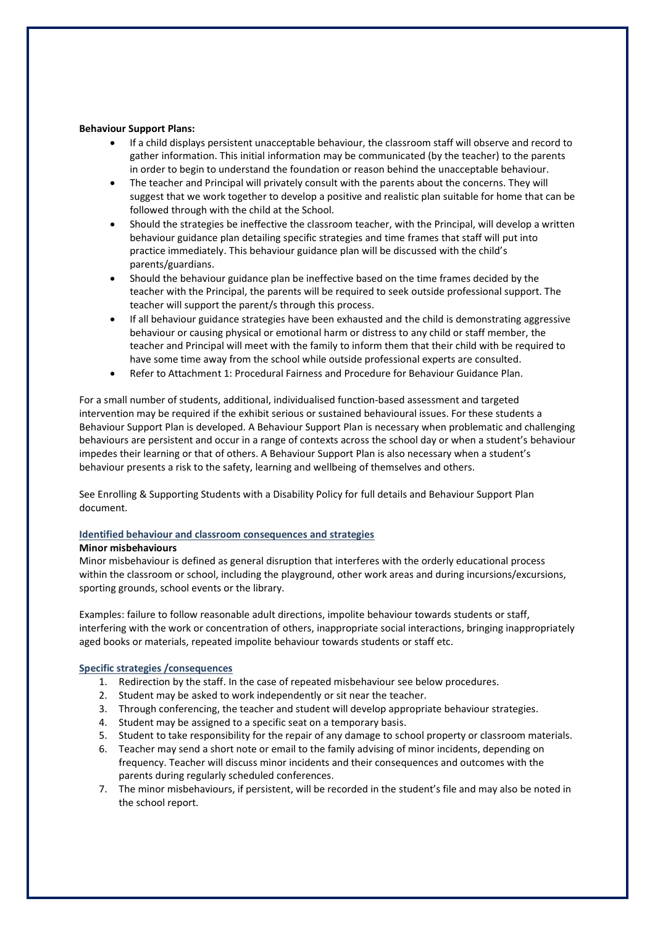### **Behaviour Support Plans:**

- If a child displays persistent unacceptable behaviour, the classroom staff will observe and record to gather information. This initial information may be communicated (by the teacher) to the parents in order to begin to understand the foundation or reason behind the unacceptable behaviour.
- The teacher and Principal will privately consult with the parents about the concerns. They will suggest that we work together to develop a positive and realistic plan suitable for home that can be followed through with the child at the School.
- Should the strategies be ineffective the classroom teacher, with the Principal, will develop a written behaviour guidance plan detailing specific strategies and time frames that staff will put into practice immediately. This behaviour guidance plan will be discussed with the child's parents/guardians.
- Should the behaviour guidance plan be ineffective based on the time frames decided by the teacher with the Principal, the parents will be required to seek outside professional support. The teacher will support the parent/s through this process.
- If all behaviour guidance strategies have been exhausted and the child is demonstrating aggressive behaviour or causing physical or emotional harm or distress to any child or staff member, the teacher and Principal will meet with the family to inform them that their child with be required to have some time away from the school while outside professional experts are consulted.
- Refer to Attachment 1: Procedural Fairness and Procedure for Behaviour Guidance Plan.

For a small number of students, additional, individualised function-based assessment and targeted intervention may be required if the exhibit serious or sustained behavioural issues. For these students a Behaviour Support Plan is developed. A Behaviour Support Plan is necessary when problematic and challenging behaviours are persistent and occur in a range of contexts across the school day or when a student's behaviour impedes their learning or that of others. A Behaviour Support Plan is also necessary when a student's behaviour presents a risk to the safety, learning and wellbeing of themselves and others.

See Enrolling & Supporting Students with a Disability Policy for full details and Behaviour Support Plan document.

# **Identified behaviour and classroom consequences and strategies**

### **Minor misbehaviours**

Minor misbehaviour is defined as general disruption that interferes with the orderly educational process within the classroom or school, including the playground, other work areas and during incursions/excursions, sporting grounds, school events or the library.

Examples: failure to follow reasonable adult directions, impolite behaviour towards students or staff, interfering with the work or concentration of others, inappropriate social interactions, bringing inappropriately aged books or materials, repeated impolite behaviour towards students or staff etc.

# **Specific strategies /consequences**

- 1. Redirection by the staff. In the case of repeated misbehaviour see below procedures.
- 2. Student may be asked to work independently or sit near the teacher.
- 3. Through conferencing, the teacher and student will develop appropriate behaviour strategies.
- 4. Student may be assigned to a specific seat on a temporary basis.
- 5. Student to take responsibility for the repair of any damage to school property or classroom materials.
- 6. Teacher may send a short note or email to the family advising of minor incidents, depending on frequency. Teacher will discuss minor incidents and their consequences and outcomes with the parents during regularly scheduled conferences.
- 7. The minor misbehaviours, if persistent, will be recorded in the student's file and may also be noted in the school report.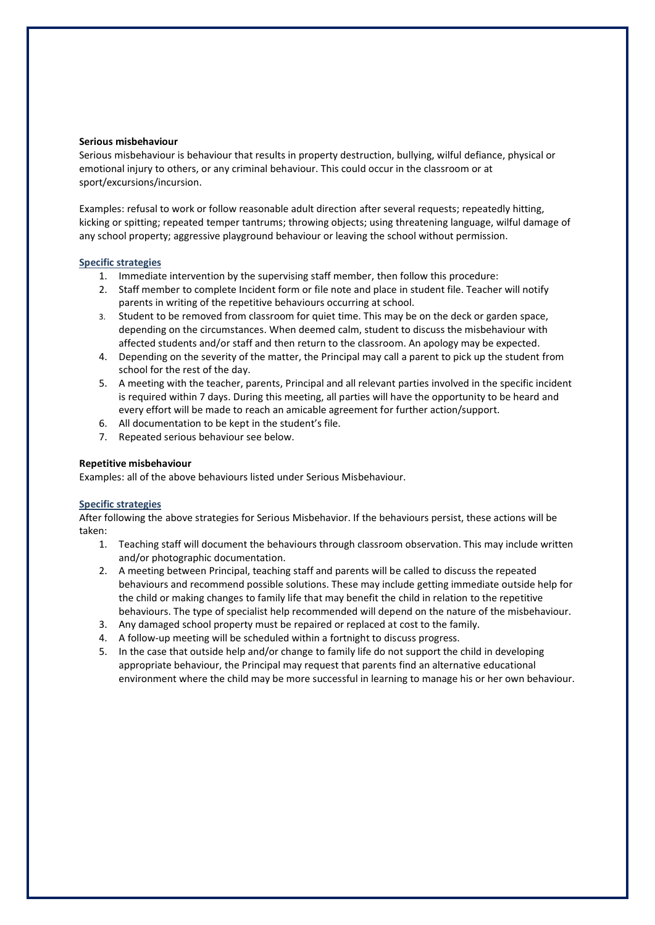#### **Serious misbehaviour**

Serious misbehaviour is behaviour that results in property destruction, bullying, wilful defiance, physical or emotional injury to others, or any criminal behaviour. This could occur in the classroom or at sport/excursions/incursion.

Examples: refusal to work or follow reasonable adult direction after several requests; repeatedly hitting, kicking or spitting; repeated temper tantrums; throwing objects; using threatening language, wilful damage of any school property; aggressive playground behaviour or leaving the school without permission.

### **Specific strategies**

- 1. Immediate intervention by the supervising staff member, then follow this procedure:
- 2. Staff member to complete Incident form or file note and place in student file. Teacher will notify parents in writing of the repetitive behaviours occurring at school.
- 3. Student to be removed from classroom for quiet time. This may be on the deck or garden space, depending on the circumstances. When deemed calm, student to discuss the misbehaviour with affected students and/or staff and then return to the classroom. An apology may be expected.
- 4. Depending on the severity of the matter, the Principal may call a parent to pick up the student from school for the rest of the day.
- 5. A meeting with the teacher, parents, Principal and all relevant parties involved in the specific incident is required within 7 days. During this meeting, all parties will have the opportunity to be heard and every effort will be made to reach an amicable agreement for further action/support.
- 6. All documentation to be kept in the student's file.
- 7. Repeated serious behaviour see below.

### **Repetitive misbehaviour**

Examples: all of the above behaviours listed under Serious Misbehaviour.

### **Specific strategies**

After following the above strategies for Serious Misbehavior. If the behaviours persist, these actions will be taken:

- 1. Teaching staff will document the behaviours through classroom observation. This may include written and/or photographic documentation.
- 2. A meeting between Principal, teaching staff and parents will be called to discuss the repeated behaviours and recommend possible solutions. These may include getting immediate outside help for the child or making changes to family life that may benefit the child in relation to the repetitive behaviours. The type of specialist help recommended will depend on the nature of the misbehaviour.
- 3. Any damaged school property must be repaired or replaced at cost to the family.
- 4. A follow-up meeting will be scheduled within a fortnight to discuss progress.
- 5. In the case that outside help and/or change to family life do not support the child in developing appropriate behaviour, the Principal may request that parents find an alternative educational environment where the child may be more successful in learning to manage his or her own behaviour.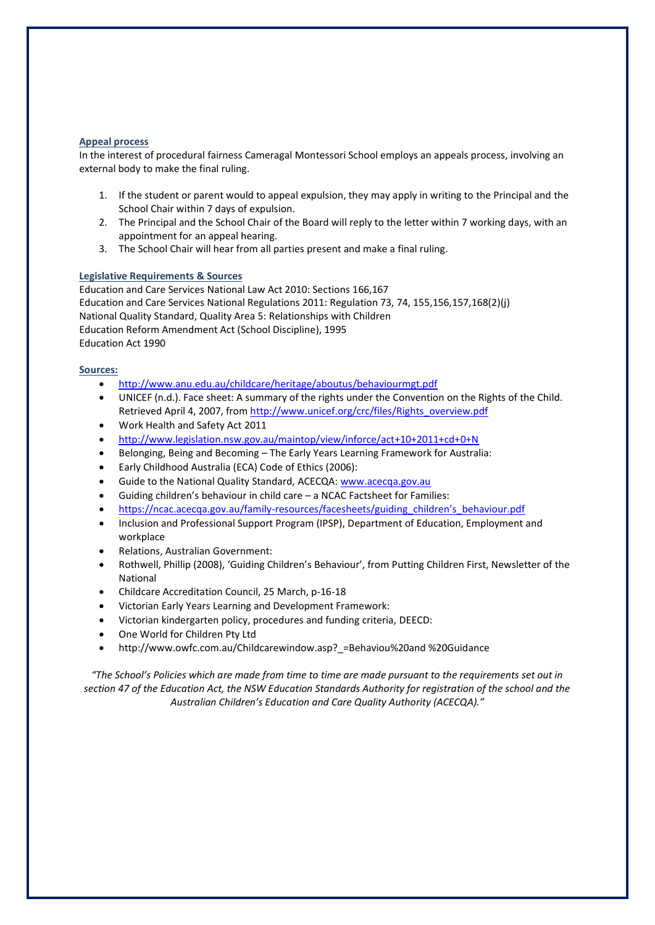### **Appeal process**

In the interest of procedural fairness Cameragal Montessori School employs an appeals process, involving an external body to make the final ruling.

- 1. If the student or parent would to appeal expulsion, they may apply in writing to the Principal and the School Chair within 7 days of expulsion.
- 2. The Principal and the School Chair of the Board will reply to the letter within 7 working days, with an appointment for an appeal hearing.
- 3. The School Chair will hear from all parties present and make a final ruling.

### **Legislative Requirements & Sources**

Education and Care Services National Law Act 2010: Sections 166,167 Education and Care Services National Regulations 2011: Regulation 73, 74, 155,156,157,168(2)(j) National Quality Standard, Quality Area 5: Relationships with Children Education Reform Amendment Act (School Discipline), 1995 Education Act 1990

### **Sources:**

- <http://www.anu.edu.au/childcare/heritage/aboutus/behaviourmgt.pdf>
- UNICEF (n.d.). Face sheet: A summary of the rights under the Convention on the Rights of the Child. Retrieved April 4, 2007, from [http://www.unicef.org/crc/files/Rights\\_overview.pdf](http://www.unicef.org/crc/files/Rights_overview.pdf)
- Work Health and Safety Act 2011
- <http://www.legislation.nsw.gov.au/maintop/view/inforce/act+10+2011+cd+0+N>
- Belonging, Being and Becoming The Early Years Learning Framework for Australia:
- Early Childhood Australia (ECA) Code of Ethics (2006):
- Guide to the National Quality Standard, ACECQA[: www.acecqa.gov.au](http://www.acecqa.gov.au/)
- Guiding children's behaviour in child care a NCAC Factsheet for Families:
- https://ncac.acecqa.gov.au/family-[resources/facesheets/guiding\\_children's\\_behaviour.pdf](https://ncac.acecqa.gov.au/family-resources/facesheets/guiding_children)
- Inclusion and Professional Support Program (IPSP), Department of Education, Employment and workplace
- Relations, Australian Government:
- Rothwell, Phillip (2008), 'Guiding Children's Behaviour', from Putting Children First, Newsletter of the National
- Childcare Accreditation Council, 25 March, p-16-18
- Victorian Early Years Learning and Development Framework:
- Victorian kindergarten policy, procedures and funding criteria, DEECD:
- One World for Children Pty Ltd
- http://www.owfc.com.au/Childcarewindow.asp? =Behaviou%20and %20Guidance

*"The School's Policies which are made from time to time are made pursuant to the requirements set out in section 47 of the Education Act, the NSW Education Standards Authority for registration of the school and the Australian Children's Education and Care Quality Authority (ACECQA)."*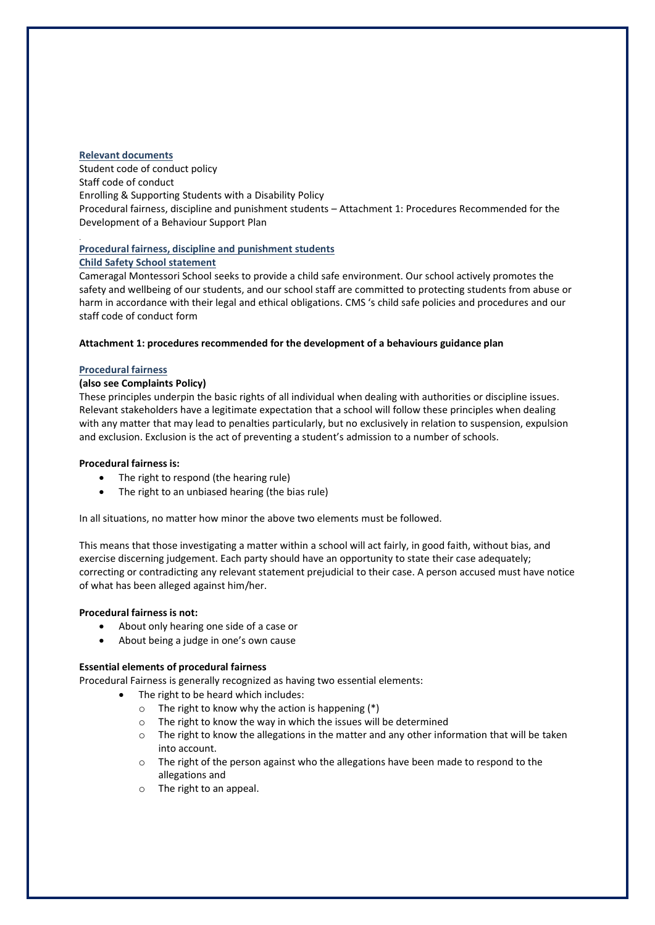### **Relevant documents**

.

Student code of conduct policy Staff code of conduct Enrolling & Supporting Students with a Disability Policy Procedural fairness, discipline and punishment students – Attachment 1: Procedures Recommended for the Development of a Behaviour Support Plan

# **Procedural fairness, discipline and punishment students**

# **Child Safety School statement**

Cameragal Montessori School seeks to provide a child safe environment. Our school actively promotes the safety and wellbeing of our students, and our school staff are committed to protecting students from abuse or harm in accordance with their legal and ethical obligations. CMS 's child safe policies and procedures and our staff code of conduct form

### **Attachment 1: procedures recommended for the development of a behaviours guidance plan**

### **Procedural fairness**

# **(also see Complaints Policy)**

These principles underpin the basic rights of all individual when dealing with authorities or discipline issues. Relevant stakeholders have a legitimate expectation that a school will follow these principles when dealing with any matter that may lead to penalties particularly, but no exclusively in relation to suspension, expulsion and exclusion. Exclusion is the act of preventing a student's admission to a number of schools.

### **Procedural fairness is:**

- The right to respond (the hearing rule)
- The right to an unbiased hearing (the bias rule)

In all situations, no matter how minor the above two elements must be followed.

This means that those investigating a matter within a school will act fairly, in good faith, without bias, and exercise discerning judgement. Each party should have an opportunity to state their case adequately; correcting or contradicting any relevant statement prejudicial to their case. A person accused must have notice of what has been alleged against him/her.

### **Procedural fairness is not:**

- About only hearing one side of a case or
- About being a judge in one's own cause

### **Essential elements of procedural fairness**

Procedural Fairness is generally recognized as having two essential elements:

- The right to be heard which includes:
	- $\circ$  The right to know why the action is happening (\*)
	- o The right to know the way in which the issues will be determined
	- $\circ$  The right to know the allegations in the matter and any other information that will be taken into account.
	- o The right of the person against who the allegations have been made to respond to the allegations and
	- o The right to an appeal.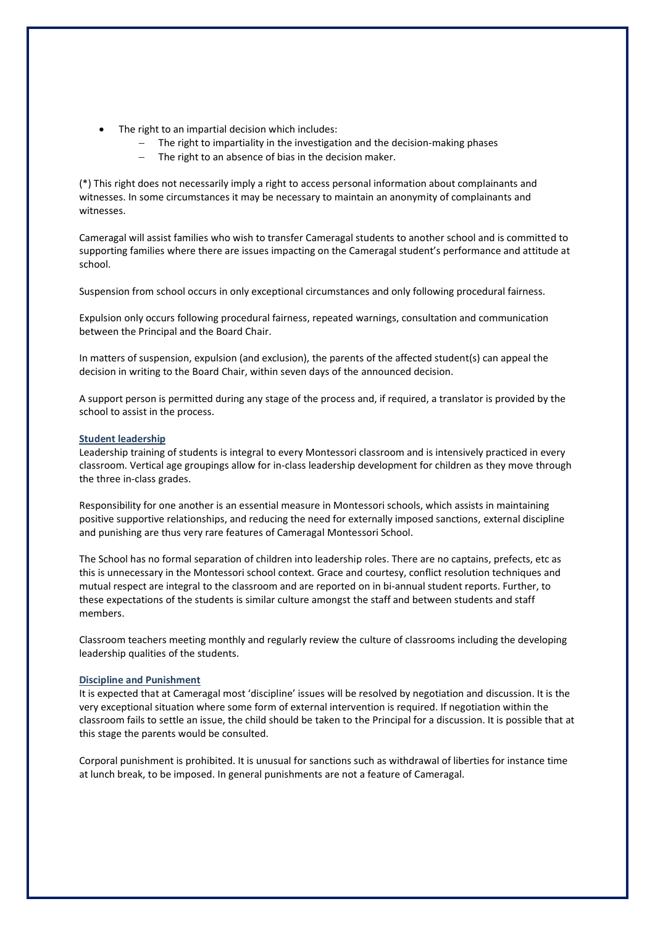- The right to an impartial decision which includes:
	- The right to impartiality in the investigation and the decision-making phases
	- The right to an absence of bias in the decision maker.

(\*) This right does not necessarily imply a right to access personal information about complainants and witnesses. In some circumstances it may be necessary to maintain an anonymity of complainants and witnesses.

Cameragal will assist families who wish to transfer Cameragal students to another school and is committed to supporting families where there are issues impacting on the Cameragal student's performance and attitude at school.

Suspension from school occurs in only exceptional circumstances and only following procedural fairness.

Expulsion only occurs following procedural fairness, repeated warnings, consultation and communication between the Principal and the Board Chair.

In matters of suspension, expulsion (and exclusion), the parents of the affected student(s) can appeal the decision in writing to the Board Chair, within seven days of the announced decision.

A support person is permitted during any stage of the process and, if required, a translator is provided by the school to assist in the process.

### **Student leadership**

Leadership training of students is integral to every Montessori classroom and is intensively practiced in every classroom. Vertical age groupings allow for in-class leadership development for children as they move through the three in-class grades.

Responsibility for one another is an essential measure in Montessori schools, which assists in maintaining positive supportive relationships, and reducing the need for externally imposed sanctions, external discipline and punishing are thus very rare features of Cameragal Montessori School.

The School has no formal separation of children into leadership roles. There are no captains, prefects, etc as this is unnecessary in the Montessori school context. Grace and courtesy, conflict resolution techniques and mutual respect are integral to the classroom and are reported on in bi-annual student reports. Further, to these expectations of the students is similar culture amongst the staff and between students and staff members.

Classroom teachers meeting monthly and regularly review the culture of classrooms including the developing leadership qualities of the students.

### **Discipline and Punishment**

It is expected that at Cameragal most 'discipline' issues will be resolved by negotiation and discussion. It is the very exceptional situation where some form of external intervention is required. If negotiation within the classroom fails to settle an issue, the child should be taken to the Principal for a discussion. It is possible that at this stage the parents would be consulted.

Corporal punishment is prohibited. It is unusual for sanctions such as withdrawal of liberties for instance time at lunch break, to be imposed. In general punishments are not a feature of Cameragal.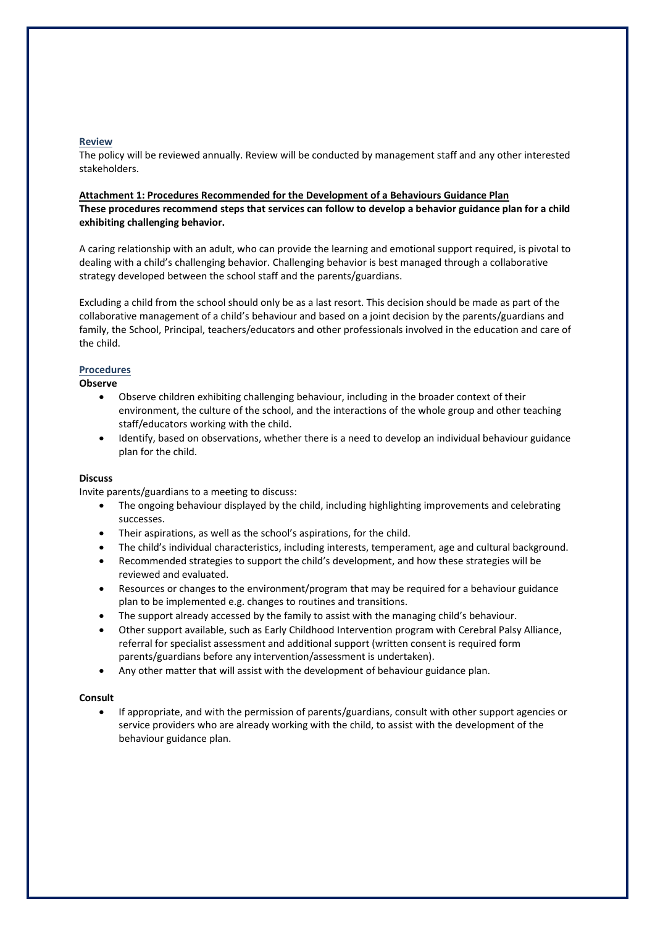### **Review**

The policy will be reviewed annually. Review will be conducted by management staff and any other interested stakeholders.

### **Attachment 1: Procedures Recommended for the Development of a Behaviours Guidance Plan These procedures recommend steps that services can follow to develop a behavior guidance plan for a child exhibiting challenging behavior.**

A caring relationship with an adult, who can provide the learning and emotional support required, is pivotal to dealing with a child's challenging behavior. Challenging behavior is best managed through a collaborative strategy developed between the school staff and the parents/guardians.

Excluding a child from the school should only be as a last resort. This decision should be made as part of the collaborative management of a child's behaviour and based on a joint decision by the parents/guardians and family, the School, Principal, teachers/educators and other professionals involved in the education and care of the child.

# **Procedures**

**Observe**

- Observe children exhibiting challenging behaviour, including in the broader context of their environment, the culture of the school, and the interactions of the whole group and other teaching staff/educators working with the child.
- Identify, based on observations, whether there is a need to develop an individual behaviour guidance plan for the child.

### **Discuss**

Invite parents/guardians to a meeting to discuss:

- The ongoing behaviour displayed by the child, including highlighting improvements and celebrating successes.
- Their aspirations, as well as the school's aspirations, for the child.
- The child's individual characteristics, including interests, temperament, age and cultural background.
- Recommended strategies to support the child's development, and how these strategies will be reviewed and evaluated.
- Resources or changes to the environment/program that may be required for a behaviour guidance plan to be implemented e.g. changes to routines and transitions.
- The support already accessed by the family to assist with the managing child's behaviour.
- Other support available, such as Early Childhood Intervention program with Cerebral Palsy Alliance, referral for specialist assessment and additional support (written consent is required form parents/guardians before any intervention/assessment is undertaken).
- Any other matter that will assist with the development of behaviour guidance plan.

### **Consult**

• If appropriate, and with the permission of parents/guardians, consult with other support agencies or service providers who are already working with the child, to assist with the development of the behaviour guidance plan.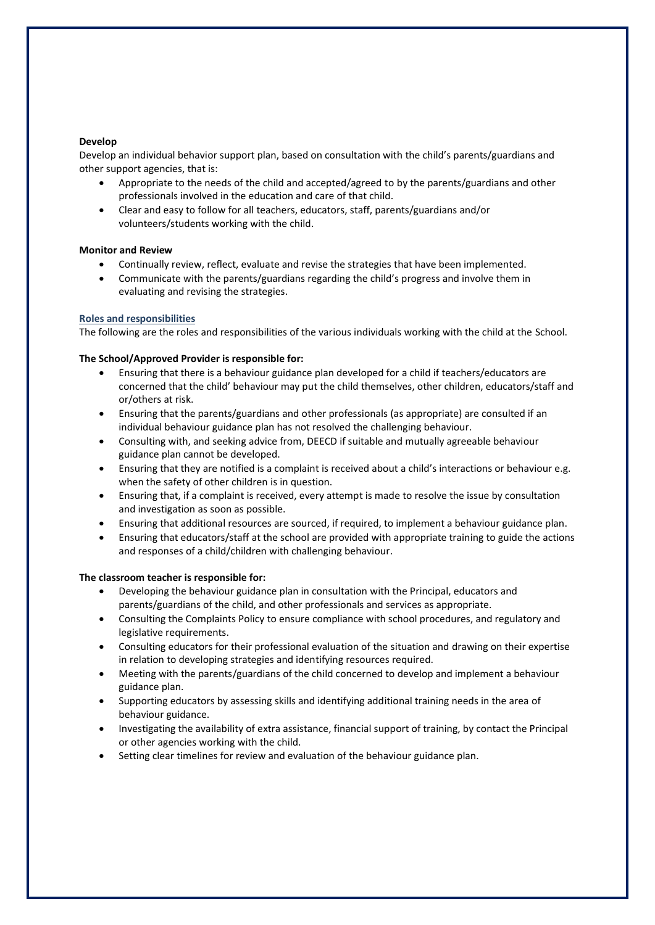### **Develop**

Develop an individual behavior support plan, based on consultation with the child's parents/guardians and other support agencies, that is:

- Appropriate to the needs of the child and accepted/agreed to by the parents/guardians and other professionals involved in the education and care of that child.
- Clear and easy to follow for all teachers, educators, staff, parents/guardians and/or volunteers/students working with the child.

# **Monitor and Review**

- Continually review, reflect, evaluate and revise the strategies that have been implemented.
- Communicate with the parents/guardians regarding the child's progress and involve them in evaluating and revising the strategies.

# **Roles and responsibilities**

The following are the roles and responsibilities of the various individuals working with the child at the School.

# **The School/Approved Provider is responsible for:**

- Ensuring that there is a behaviour guidance plan developed for a child if teachers/educators are concerned that the child' behaviour may put the child themselves, other children, educators/staff and or/others at risk.
- Ensuring that the parents/guardians and other professionals (as appropriate) are consulted if an individual behaviour guidance plan has not resolved the challenging behaviour.
- Consulting with, and seeking advice from, DEECD if suitable and mutually agreeable behaviour guidance plan cannot be developed.
- Ensuring that they are notified is a complaint is received about a child's interactions or behaviour e.g. when the safety of other children is in question.
- Ensuring that, if a complaint is received, every attempt is made to resolve the issue by consultation and investigation as soon as possible.
- Ensuring that additional resources are sourced, if required, to implement a behaviour guidance plan.
- Ensuring that educators/staff at the school are provided with appropriate training to guide the actions and responses of a child/children with challenging behaviour.

# **The classroom teacher is responsible for:**

- Developing the behaviour guidance plan in consultation with the Principal, educators and parents/guardians of the child, and other professionals and services as appropriate.
- Consulting the Complaints Policy to ensure compliance with school procedures, and regulatory and legislative requirements.
- Consulting educators for their professional evaluation of the situation and drawing on their expertise in relation to developing strategies and identifying resources required.
- Meeting with the parents/guardians of the child concerned to develop and implement a behaviour guidance plan.
- Supporting educators by assessing skills and identifying additional training needs in the area of behaviour guidance.
- Investigating the availability of extra assistance, financial support of training, by contact the Principal or other agencies working with the child.
- Setting clear timelines for review and evaluation of the behaviour guidance plan.